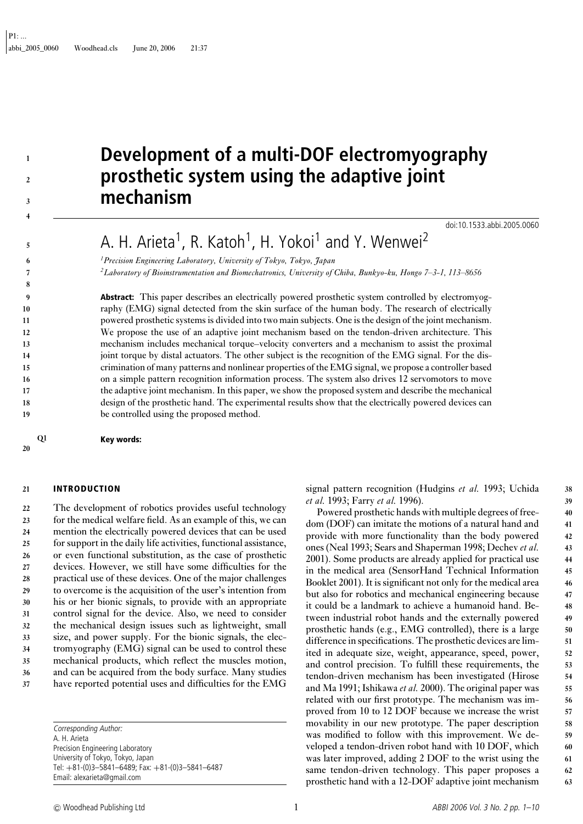# **1 2**

- 
- 
- 
- 
- 
- 
- 
- 
- 
- 
- 
- 

**5**

**6 7 8**

- 
- 
- 
- 
- 
- 
- 
- 

- 
- **3 4**

# **Development of a multi-DOF electromyography prosthetic system using the adaptive joint mechanism**

doi:10.1533.abbi.2005.0060

A. H. Arieta<sup>1</sup>, R. Katoh<sup>1</sup>, H. Yokoi<sup>1</sup> and Y. Wenwei<sup>2</sup>

*1Precision Engineering Laboratory, University of Tokyo, Tokyo, Japan 2Laboratory of Bioinstrumentation and Biomechatronics, University of Chiba, Bunkyo-ku, Hongo 7–3-1, 113–8656*

**Abstract:** This paper describes an electrically powered prosthetic system controlled by electromyography (EMG) signal detected from the skin surface of the human body. The research of electrically powered prosthetic systems is divided into two main subjects. One is the design of the joint mechanism. We propose the use of an adaptive joint mechanism based on the tendon-driven architecture. This mechanism includes mechanical torque–velocity converters and a mechanism to assist the proximal joint torque by distal actuators. The other subject is the recognition of the EMG signal. For the discrimination of many patterns and nonlinear properties of the EMG signal, we propose a controller based on a simple pattern recognition information process. The system also drives 12 servomotors to move the adaptive joint mechanism. In this paper, we show the proposed system and describe the mechanical design of the prosthetic hand. The experimental results show that the electrically powered devices can be controlled using the proposed method.

**Q1 Key words:**

#### **20**

## **21 INTRODUCTION**

 The development of robotics provides useful technology for the medical welfare field. As an example of this, we can mention the electrically powered devices that can be used for support in the daily life activities, functional assistance, or even functional substitution, as the case of prosthetic devices. However, we still have some difficulties for the practical use of these devices. One of the major challenges to overcome is the acquisition of the user's intention from his or her bionic signals, to provide with an appropriate control signal for the device. Also, we need to consider the mechanical design issues such as lightweight, small size, and power supply. For the bionic signals, the elec- tromyography (EMG) signal can be used to control these mechanical products, which reflect the muscles motion, and can be acquired from the body surface. Many studies have reported potential uses and difficulties for the EMG

> Corresponding Author: A. H. Arieta Precision Engineering Laboratory University of Tokyo, Tokyo, Japan Tel: +81-(0)3–5841–6489; Fax: +81-(0)3–5841–6487 Email: alexarieta@gmail.com

signal pattern recognition (Hudgins *et al.* 1993; Uchida **38** *et al.* 1993; Farry *et al.* 1996). **39**

Powered prosthetic hands with multiple degrees of free- **40** dom (DOF) can imitate the motions of a natural hand and **41** provide with more functionality than the body powered **42** ones (Neal 1993; Sears and Shaperman 1998; Dechev *et al.* **43** 2001). Some products are already applied for practical use **44** in the medical area (SensorHand Technical Information **45** Booklet 2001). It is significant not only for the medical area **46** but also for robotics and mechanical engineering because **47** it could be a landmark to achieve a humanoid hand. Be- **48** tween industrial robot hands and the externally powered **49** prosthetic hands (e.g., EMG controlled), there is a large **50** difference in specifications. The prosthetic devices are lim- **51** ited in adequate size, weight, appearance, speed, power, **52** and control precision. To fulfill these requirements, the **53** tendon-driven mechanism has been investigated (Hirose **54** and Ma 1991; Ishikawa *et al.* 2000). The original paper was **55** related with our first prototype. The mechanism was im- **56** proved from 10 to 12 DOF because we increase the wrist **57** movability in our new prototype. The paper description **58** was modified to follow with this improvement. We de- **59** veloped a tendon-driven robot hand with 10 DOF, which **60** was later improved, adding 2 DOF to the wrist using the **61** same tendon-driven technology. This paper proposes a **62** prosthetic hand with a 12-DOF adaptive joint mechanism **63**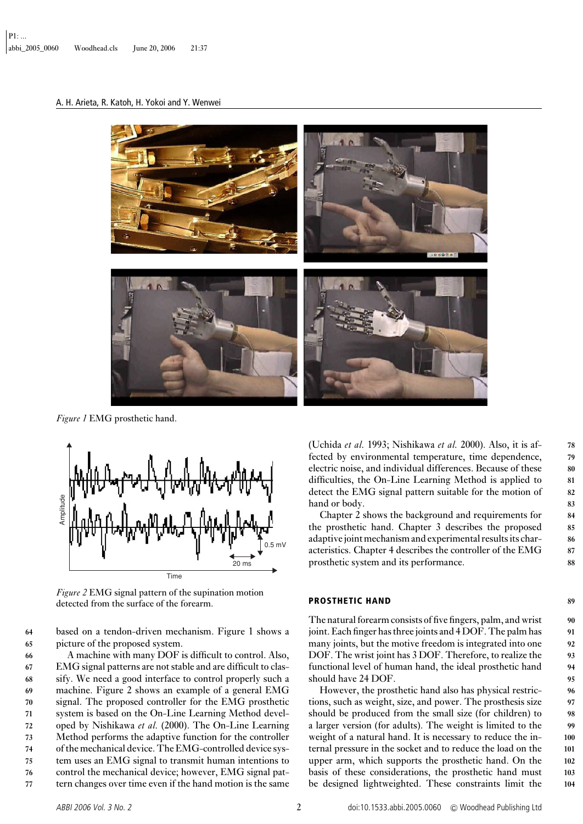# A. H. Arieta, R. Katoh, H. Yokoi and Y. Wenwei



*Figure 1* EMG prosthetic hand.



*Figure 2* EMG signal pattern of the supination motion detected from the surface of the forearm.

**64** based on a tendon-driven mechanism. Figure 1 shows a **65** picture of the proposed system.

 A machine with many DOF is difficult to control. Also, EMG signal patterns are not stable and are difficult to clas- sify. We need a good interface to control properly such a machine. Figure 2 shows an example of a general EMG signal. The proposed controller for the EMG prosthetic system is based on the On-Line Learning Method devel- oped by Nishikawa *et al.* (2000). The On-Line Learning Method performs the adaptive function for the controller of the mechanical device. The EMG-controlled device sys- tem uses an EMG signal to transmit human intentions to control the mechanical device; however, EMG signal pat-tern changes over time even if the hand motion is the same

(Uchida *et al.* 1993; Nishikawa *et al.* 2000). Also, it is af- **78** fected by environmental temperature, time dependence, **79** electric noise, and individual differences. Because of these **80** difficulties, the On-Line Learning Method is applied to **81** detect the EMG signal pattern suitable for the motion of **82** hand or body. **83** 

Chapter 2 shows the background and requirements for **84** the prosthetic hand. Chapter 3 describes the proposed **85** adaptive joint mechanism and experimental results its char- **86** acteristics. Chapter 4 describes the controller of the EMG **87** prosthetic system and its performance. **88**

#### **PROSTHETIC HAND 89**

The natural forearm consists of five fingers, palm, and wrist **90** joint. Each finger has three joints and 4 DOF. The palm has **91** many joints, but the motive freedom is integrated into one **92** DOF. The wrist joint has 3 DOF. Therefore, to realize the **93** functional level of human hand, the ideal prosthetic hand **94** should have 24 DOF. **95**

However, the prosthetic hand also has physical restric- **96** tions, such as weight, size, and power. The prosthesis size **97** should be produced from the small size (for children) to **98** a larger version (for adults). The weight is limited to the **99** weight of a natural hand. It is necessary to reduce the in- **100** ternal pressure in the socket and to reduce the load on the **101** upper arm, which supports the prosthetic hand. On the **102** basis of these considerations, the prosthetic hand must **103** be designed lightweighted. These constraints limit the **104**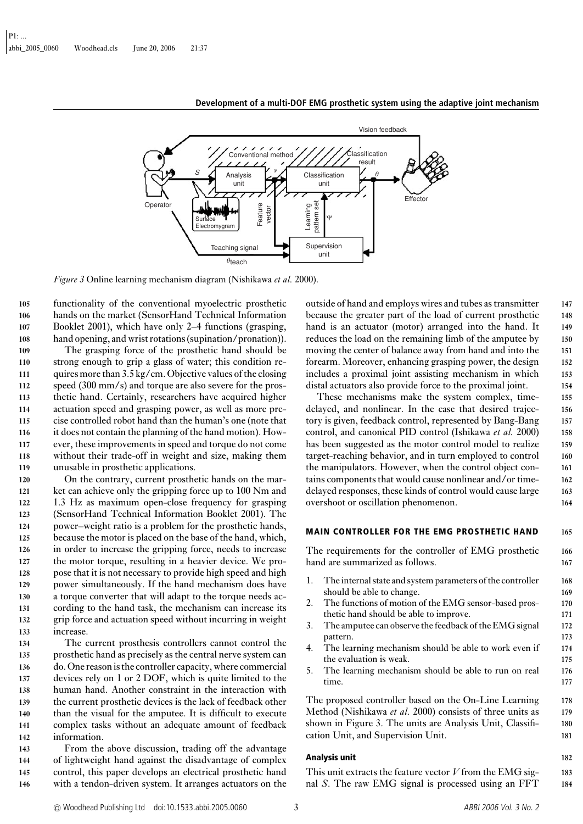

*Figure 3* Online learning mechanism diagram (Nishikawa *et al.* 2000).

 functionality of the conventional myoelectric prosthetic hands on the market (SensorHand Technical Information Booklet 2001), which have only 2–4 functions (grasping, hand opening, and wrist rotations (supination/pronation)).

 The grasping force of the prosthetic hand should be strong enough to grip a glass of water; this condition re- quires more than 3.5 kg/cm. Objective values of the closing speed (300 mm/s) and torque are also severe for the pros- thetic hand. Certainly, researchers have acquired higher actuation speed and grasping power, as well as more pre- cise controlled robot hand than the human's one (note that it does not contain the planning of the hand motion). How- ever, these improvements in speed and torque do not come without their trade-off in weight and size, making them unusable in prosthetic applications.

 On the contrary, current prosthetic hands on the mar-121 ket can achieve only the gripping force up to 100 Nm and 1.3 Hz as maximum open-close frequency for grasping (SensorHand Technical Information Booklet 2001). The power–weight ratio is a problem for the prosthetic hands, because the motor is placed on the base of the hand, which, in order to increase the gripping force, needs to increase the motor torque, resulting in a heavier device. We pro- pose that it is not necessary to provide high speed and high power simultaneously. If the hand mechanism does have a torque converter that will adapt to the torque needs ac- cording to the hand task, the mechanism can increase its grip force and actuation speed without incurring in weight increase.

 The current prosthesis controllers cannot control the prosthetic hand as precisely as the central nerve system can do. One reason is the controller capacity, where commercial devices rely on 1 or 2 DOF, which is quite limited to the human hand. Another constraint in the interaction with the current prosthetic devices is the lack of feedback other than the visual for the amputee. It is difficult to execute complex tasks without an adequate amount of feedback information.

 From the above discussion, trading off the advantage of lightweight hand against the disadvantage of complex control, this paper develops an electrical prosthetic hand with a tendon-driven system. It arranges actuators on the outside of hand and employs wires and tubes as transmitter **147** because the greater part of the load of current prosthetic **148** hand is an actuator (motor) arranged into the hand. It **149** reduces the load on the remaining limb of the amputee by **150** moving the center of balance away from hand and into the **151** forearm. Moreover, enhancing grasping power, the design **152** includes a proximal joint assisting mechanism in which **153** distal actuators also provide force to the proximal joint. **154**

These mechanisms make the system complex, time- **155** delayed, and nonlinear. In the case that desired trajec- **156** tory is given, feedback control, represented by Bang-Bang **157** control, and canonical PID control (Ishikawa *et al.* 2000) **158** has been suggested as the motor control model to realize **159** target-reaching behavior, and in turn employed to control **160** the manipulators. However, when the control object con- **161** tains components that would cause nonlinear and/or time- **162** delayed responses, these kinds of control would cause large **163** overshoot or oscillation phenomenon. **164**

#### **MAIN CONTROLLER FOR THE EMG PROSTHETIC HAND 165**

The requirements for the controller of EMG prosthetic **166** hand are summarized as follows. **167**

- 1. The internal state and system parameters of the controller **168** should be able to change. **169**
- 2. The functions of motion of the EMG sensor-based pros- **170** thetic hand should be able to improve. **171**
- 3. The amputee can observe the feedback of the EMG signal **172** pattern. **173**
- 4. The learning mechanism should be able to work even if **174** the evaluation is weak. **175**
- 5. The learning mechanism should be able to run on real **176** time. **177**

The proposed controller based on the On-Line Learning **178** Method (Nishikawa *et al.* 2000) consists of three units as **179** shown in Figure 3. The units are Analysis Unit, Classifi- **180** cation Unit, and Supervision Unit. **181**

#### **Analysis unit 182**

This unit extracts the feature vector *V* from the EMG sig- **183** nal *S*. The raw EMG signal is processed using an FFT **184**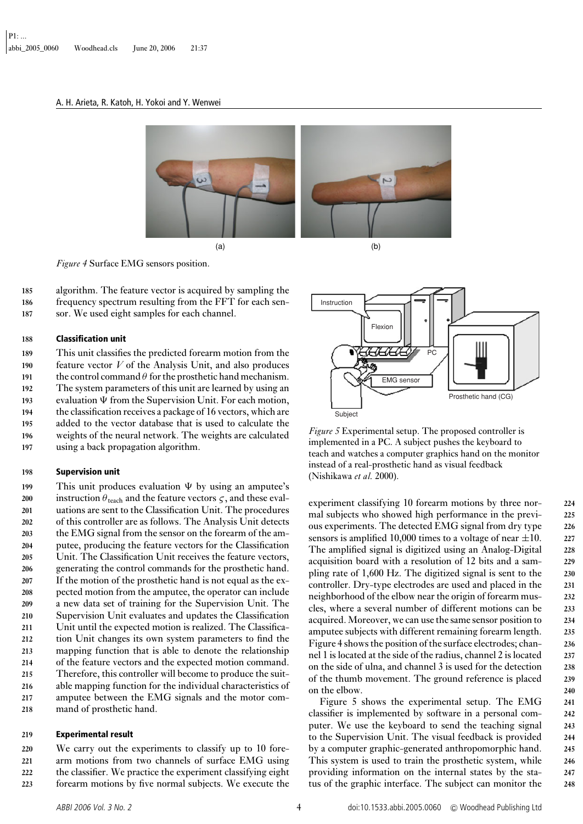#### A. H. Arieta, R. Katoh, H. Yokoi and Y. Wenwei



*Figure 4* Surface EMG sensors position.

**185** algorithm. The feature vector is acquired by sampling the **186** frequency spectrum resulting from the FFT for each sen-**187** sor. We used eight samples for each channel.

#### **188 Classification unit**

 This unit classifies the predicted forearm motion from the feature vector *V* of the Analysis Unit, and also produces 191 the control command  $\theta$  for the prosthetic hand mechanism. The system parameters of this unit are learned by using an 193 evaluation  $\Psi$  from the Supervision Unit. For each motion, the classification receives a package of 16 vectors, which are added to the vector database that is used to calculate the weights of the neural network. The weights are calculated using a back propagation algorithm.

#### **198 Supervision unit**

199 This unit produces evaluation  $\Psi$  by using an amputee's instruction  $\theta_{\text{teach}}$  and the feature vectors  $\zeta$ , and these eval- uations are sent to the Classification Unit. The procedures of this controller are as follows. The Analysis Unit detects the EMG signal from the sensor on the forearm of the am- putee, producing the feature vectors for the Classification Unit. The Classification Unit receives the feature vectors, generating the control commands for the prosthetic hand. If the motion of the prosthetic hand is not equal as the ex- pected motion from the amputee, the operator can include a new data set of training for the Supervision Unit. The Supervision Unit evaluates and updates the Classification Unit until the expected motion is realized. The Classifica- tion Unit changes its own system parameters to find the mapping function that is able to denote the relationship of the feature vectors and the expected motion command. Therefore, this controller will become to produce the suit- able mapping function for the individual characteristics of amputee between the EMG signals and the motor com-mand of prosthetic hand.

#### **219 Experimental result**

 We carry out the experiments to classify up to 10 fore- arm motions from two channels of surface EMG using the classifier. We practice the experiment classifying eight forearm motions by five normal subjects. We execute the



*Figure 5* Experimental setup. The proposed controller is implemented in a PC. A subject pushes the keyboard to teach and watches a computer graphics hand on the monitor instead of a real-prosthetic hand as visual feedback (Nishikawa *et al.* 2000).

experiment classifying 10 forearm motions by three nor- **224** mal subjects who showed high performance in the previ- **225** ous experiments. The detected EMG signal from dry type **226** sensors is amplified 10,000 times to a voltage of near ±10. **<sup>227</sup>** The amplified signal is digitized using an Analog-Digital **228** acquisition board with a resolution of 12 bits and a sam- **229** pling rate of 1,600 Hz. The digitized signal is sent to the **230** controller. Dry-type electrodes are used and placed in the **231** neighborhood of the elbow near the origin of forearm mus- **232** cles, where a several number of different motions can be **233** acquired. Moreover, we can use the same sensor position to **234** amputee subjects with different remaining forearm length. **235** Figure 4 shows the position of the surface electrodes; chan- **236** nel 1 is located at the side of the radius, channel 2 is located **237** on the side of ulna, and channel 3 is used for the detection **238** of the thumb movement. The ground reference is placed **239** on the elbow. **240**

Figure 5 shows the experimental setup. The EMG **241** classifier is implemented by software in a personal com- **242** puter. We use the keyboard to send the teaching signal **243** to the Supervision Unit. The visual feedback is provided **244** by a computer graphic-generated anthropomorphic hand. **245** This system is used to train the prosthetic system, while **246** providing information on the internal states by the sta- **247** tus of the graphic interface. The subject can monitor the **248**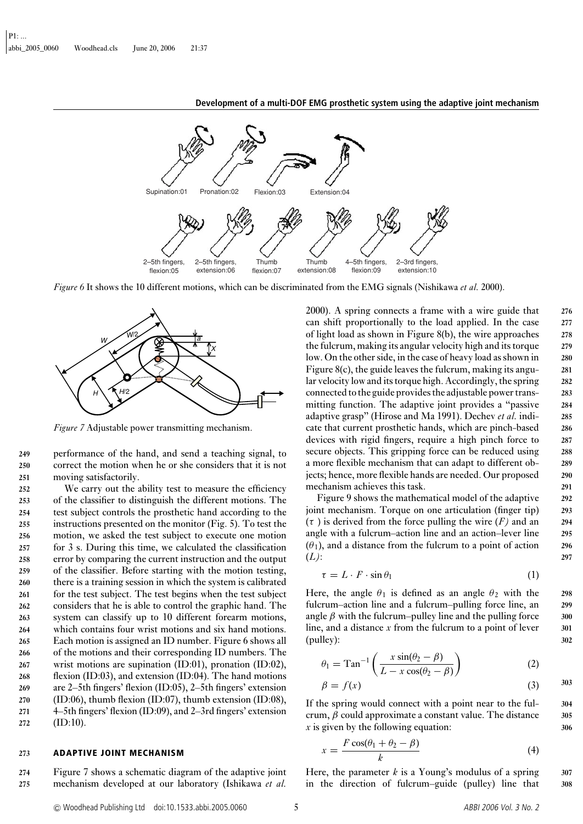

*Figure 6* It shows the 10 different motions, which can be discriminated from the EMG signals (Nishikawa *et al.* 2000).



*Figure 7* Adjustable power transmitting mechanism.

**249** performance of the hand, and send a teaching signal, to **250** correct the motion when he or she considers that it is not **251** moving satisfactorily.

 We carry out the ability test to measure the efficiency of the classifier to distinguish the different motions. The test subject controls the prosthetic hand according to the instructions presented on the monitor (Fig. 5). To test the motion, we asked the test subject to execute one motion for 3 s. During this time, we calculated the classification error by comparing the current instruction and the output of the classifier. Before starting with the motion testing, there is a training session in which the system is calibrated for the test subject. The test begins when the test subject considers that he is able to control the graphic hand. The system can classify up to 10 different forearm motions, which contains four wrist motions and six hand motions. Each motion is assigned an ID number. Figure 6 shows all of the motions and their corresponding ID numbers. The wrist motions are supination (ID:01), pronation (ID:02), flexion (ID:03), and extension (ID:04). The hand motions are 2–5th fingers' flexion (ID:05), 2–5th fingers' extension (ID:06), thumb flexion (ID:07), thumb extension (ID:08), 4–5th fingers' flexion (ID:09), and 2–3rd fingers' extension **272** (ID:10).

#### **273 ADAPTIVE JOINT MECHANISM**

**274** Figure 7 shows a schematic diagram of the adaptive joint **275** mechanism developed at our laboratory (Ishikawa *et al.*

2000). A spring connects a frame with a wire guide that **276** can shift proportionally to the load applied. In the case **277** of light load as shown in Figure 8(b), the wire approaches **278** the fulcrum, making its angular velocity high and its torque **279** low. On the other side, in the case of heavy load as shown in **280** Figure 8(c), the guide leaves the fulcrum, making its angu- **281** lar velocity low and its torque high. Accordingly, the spring **282** connected to the guide provides the adjustable power trans- **283** mitting function. The adaptive joint provides a "passive **284** adaptive grasp" (Hirose and Ma 1991). Dechev *et al.* indi- **285** cate that current prosthetic hands, which are pinch-based **286** devices with rigid fingers, require a high pinch force to **287** secure objects. This gripping force can be reduced using **288** a more flexible mechanism that can adapt to different ob- **289** jects; hence, more flexible hands are needed. Our proposed **290** mechanism achieves this task. **291** 

Figure 9 shows the mathematical model of the adaptive **292** joint mechanism. Torque on one articulation (finger tip) **293**  $(\tau)$  is derived from the force pulling the wire  $(F)$  and an 294 angle with a fulcrum–action line and an action–lever line **295**  $(\theta_1)$ , and a distance from the fulcrum to a point of action 296 (*L)*: **297**

$$
\tau = L \cdot F \cdot \sin \theta_1 \tag{1}
$$

Here, the angle  $\theta_1$  is defined as an angle  $\theta_2$  with the 298 fulcrum–action line and a fulcrum–pulling force line, an **299** angle  $\beta$  with the fulcrum–pulley line and the pulling force  $\qquad$  300 line, and a distance *x* from the fulcrum to a point of lever 301 (pulley): **302**

$$
\theta_1 = \text{Tan}^{-1} \left( \frac{x \sin(\theta_2 - \beta)}{L - x \cos(\theta_2 - \beta)} \right) \tag{2}
$$

$$
\beta = f(x) \tag{3}
$$

If the spring would connect with a point near to the ful- **304** crum, β could approximate a constant value. The distance **305** *x* is given by the following equation: **306**

$$
x = \frac{F\cos(\theta_1 + \theta_2 - \beta)}{k} \tag{4}
$$

Here, the parameter  $k$  is a Young's modulus of a spring  $307$ in the direction of fulcrum–guide (pulley) line that **308**

<sup>C</sup> Woodhead Publishing Ltd doi:10.1533.abbi.2005.0060 5 ABBI <sup>2006</sup> Vol. <sup>3</sup> No. <sup>2</sup>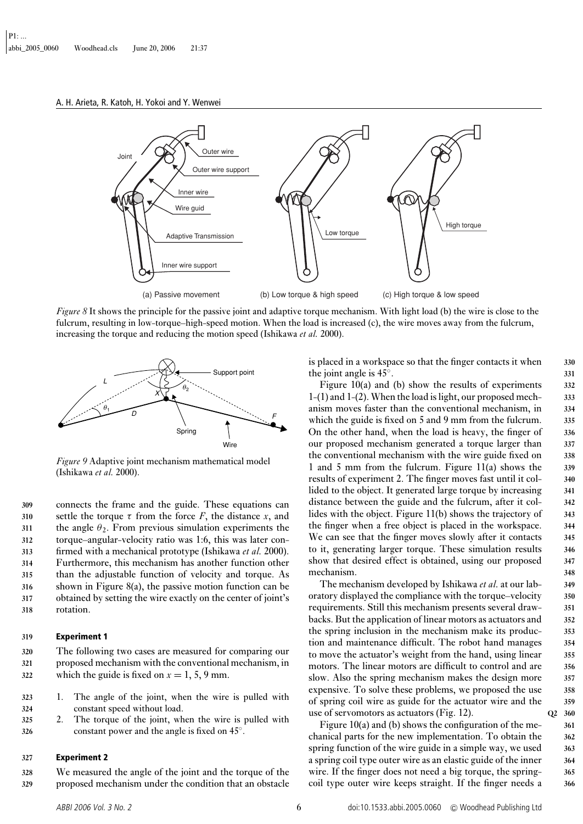A. H. Arieta, R. Katoh, H. Yokoi and Y. Wenwei



*Figure 8* It shows the principle for the passive joint and adaptive torque mechanism. With light load (b) the wire is close to the fulcrum, resulting in low-torque–high-speed motion. When the load is increased (c), the wire moves away from the fulcrum, increasing the torque and reducing the motion speed (Ishikawa *et al.* 2000).



*Figure 9* Adaptive joint mechanism mathematical model (Ishikawa *et al.* 2000).

 connects the frame and the guide. These equations can settle the torque  $\tau$  from the force *F*, the distance *x*, and 311 the angle  $\theta_2$ . From previous simulation experiments the torque–angular-velocity ratio was 1:6, this was later con- firmed with a mechanical prototype (Ishikawa *et al.* 2000). Furthermore, this mechanism has another function other than the adjustable function of velocity and torque. As shown in Figure 8(a), the passive motion function can be obtained by setting the wire exactly on the center of joint's rotation.

#### **319 Experiment 1**

**320** The following two cases are measured for comparing our **321** proposed mechanism with the conventional mechanism, in 322 which the guide is fixed on  $x = 1, 5, 9$  mm.

- **323** 1. The angle of the joint, when the wire is pulled with **324** constant speed without load.
- **325** 2. The torque of the joint, when the wire is pulled with shower and the angle is fixed on 45<sup>°</sup>.

#### **327 Experiment 2**

**328** We measured the angle of the joint and the torque of the **329** proposed mechanism under the condition that an obstacle is placed in a workspace so that the finger contacts it when **330** the joint angle is  $45^\circ$ .  $331^\circ$ 

Figure 10(a) and (b) show the results of experiments **332** 1-(1) and 1-(2). When the load is light, our proposed mech- **333** anism moves faster than the conventional mechanism, in **334** which the guide is fixed on 5 and 9 mm from the fulcrum. **335** On the other hand, when the load is heavy, the finger of **336** our proposed mechanism generated a torque larger than **337** the conventional mechanism with the wire guide fixed on **338** 1 and 5 mm from the fulcrum. Figure 11(a) shows the **339** results of experiment 2. The finger moves fast until it col- **340** lided to the object. It generated large torque by increasing **341** distance between the guide and the fulcrum, after it col- **342** lides with the object. Figure 11(b) shows the trajectory of **343** the finger when a free object is placed in the workspace. **344** We can see that the finger moves slowly after it contacts **345** to it, generating larger torque. These simulation results **346** show that desired effect is obtained, using our proposed **347** mechanism. **348**

The mechanism developed by Ishikawa *et al.* at our lab- **349** oratory displayed the compliance with the torque–velocity **350** requirements. Still this mechanism presents several draw- **351** backs. But the application of linear motors as actuators and **352** the spring inclusion in the mechanism make its produc- **353** tion and maintenance difficult. The robot hand manages **354** to move the actuator's weight from the hand, using linear **355** motors. The linear motors are difficult to control and are **356** slow. Also the spring mechanism makes the design more **357** expensive. To solve these problems, we proposed the use **358** of spring coil wire as guide for the actuator wire and the **359** use of servomotors as actuators (Fig. 12). **Q2 360**

Figure 10(a) and (b) shows the configuration of the me- **361** chanical parts for the new implementation. To obtain the **362** spring function of the wire guide in a simple way, we used **363** a spring coil type outer wire as an elastic guide of the inner **364** wire. If the finger does not need a big torque, the spring- **365** coil type outer wire keeps straight. If the finger needs a **366**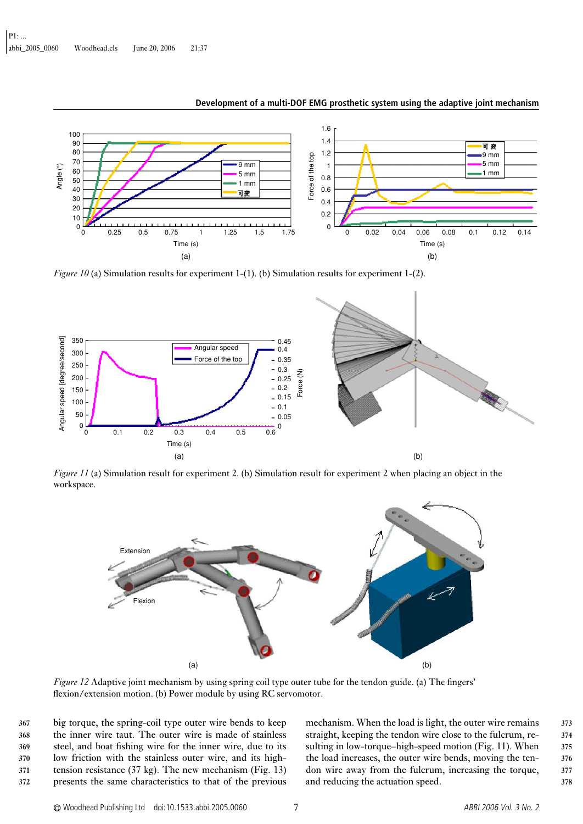

*Figure 10* (a) Simulation results for experiment 1-(1). (b) Simulation results for experiment 1-(2).



*Figure 11* (a) Simulation result for experiment 2. (b) Simulation result for experiment 2 when placing an object in the workspace.



*Figure 12* Adaptive joint mechanism by using spring coil type outer tube for the tendon guide. (a) The fingers' flexion/extension motion. (b) Power module by using RC servomotor.

 big torque, the spring-coil type outer wire bends to keep the inner wire taut. The outer wire is made of stainless steel, and boat fishing wire for the inner wire, due to its low friction with the stainless outer wire, and its high- tension resistance (37 kg). The new mechanism (Fig. 13) presents the same characteristics to that of the previous mechanism. When the load is light, the outer wire remains **373** straight, keeping the tendon wire close to the fulcrum, re- **374** sulting in low-torque–high-speed motion (Fig. 11). When **375** the load increases, the outer wire bends, moving the ten- **376** don wire away from the fulcrum, increasing the torque, **377** and reducing the actuation speed. **378**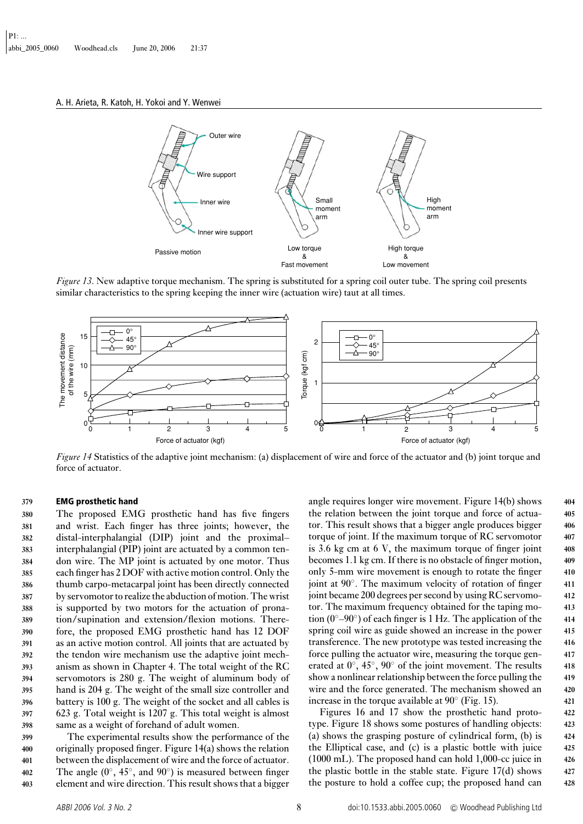A. H. Arieta, R. Katoh, H. Yokoi and Y. Wenwei



*Figure 13*. New adaptive torque mechanism. The spring is substituted for a spring coil outer tube. The spring coil presents similar characteristics to the spring keeping the inner wire (actuation wire) taut at all times.



*Figure 14* Statistics of the adaptive joint mechanism: (a) displacement of wire and force of the actuator and (b) joint torque and force of actuator.

#### **379 EMG prosthetic hand**

 The proposed EMG prosthetic hand has five fingers and wrist. Each finger has three joints; however, the distal-interphalangial (DIP) joint and the proximal– interphalangial (PIP) joint are actuated by a common ten- don wire. The MP joint is actuated by one motor. Thus each finger has 2 DOF with active motion control. Only the thumb carpo-metacarpal joint has been directly connected by servomotor to realize the abduction of motion. The wrist is supported by two motors for the actuation of prona- tion/supination and extension/flexion motions. There- fore, the proposed EMG prosthetic hand has 12 DOF as an active motion control. All joints that are actuated by the tendon wire mechanism use the adaptive joint mech- anism as shown in Chapter 4. The total weight of the RC servomotors is 280 g. The weight of aluminum body of hand is 204 g. The weight of the small size controller and battery is 100 g. The weight of the socket and all cables is 623 g. Total weight is 1207 g. This total weight is almost same as a weight of forehand of adult women.

 The experimental results show the performance of the originally proposed finger. Figure 14(a) shows the relation between the displacement of wire and the force of actuator. The angle (0◦, 45◦, and 90◦ **402** ) is measured between finger element and wire direction. This result shows that a bigger angle requires longer wire movement. Figure 14(b) shows **404** the relation between the joint torque and force of actua- **405** tor. This result shows that a bigger angle produces bigger **406** torque of joint. If the maximum torque of RC servomotor **407** is 3.6 kg cm at 6 V, the maximum torque of finger joint **408** becomes 1.1 kg cm. If there is no obstacle of finger motion, **409** only 5-mm wire movement is enough to rotate the finger **410** joint at 90◦. The maximum velocity of rotation of finger **411** joint became 200 degrees per second by using RC servomo- **412** tor. The maximum frequency obtained for the taping mo- **413** tion (0◦–90◦) of each finger is 1 Hz. The application of the **414** spring coil wire as guide showed an increase in the power **415** transference. The new prototype was tested increasing the **416** force pulling the actuator wire, measuring the torque gen- **417** erated at 0◦, 45◦, 90◦ of the joint movement. The results **418** show a nonlinear relationship between the force pulling the **419** wire and the force generated. The mechanism showed an **420** increase in the torque available at  $90^\circ$  (Fig. 15).  $421$ 

Figures 16 and 17 show the prosthetic hand proto- **422** type. Figure 18 shows some postures of handling objects: **423** (a) shows the grasping posture of cylindrical form, (b) is **424** the Elliptical case, and (c) is a plastic bottle with juice **425** (1000 mL). The proposed hand can hold 1,000-cc juice in **426** the plastic bottle in the stable state. Figure 17(d) shows **427** the posture to hold a coffee cup; the proposed hand can **428**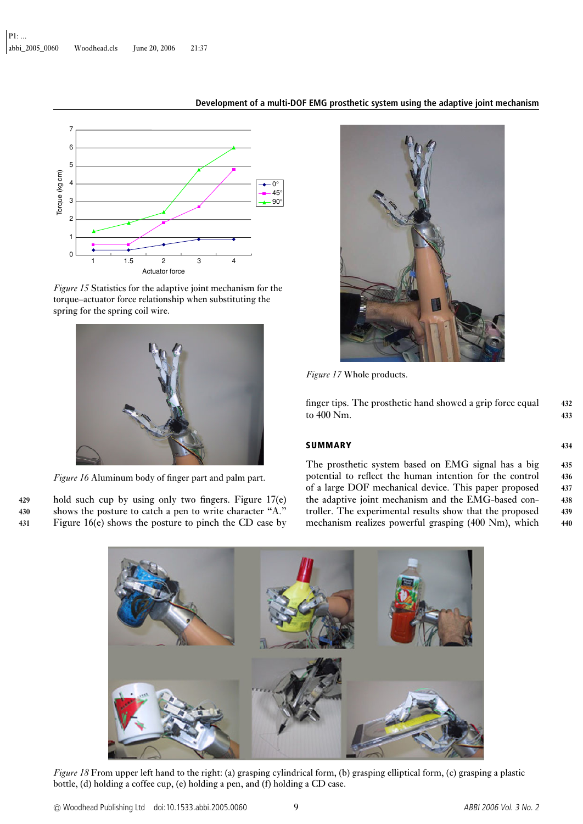

*Figure 15* Statistics for the adaptive joint mechanism for the torque–actuator force relationship when substituting the spring for the spring coil wire.



*Figure 16* Aluminum body of finger part and palm part.

**429** hold such cup by using only two fingers. Figure 17(e) **430** shows the posture to catch a pen to write character "A." **431** Figure 16(e) shows the posture to pinch the CD case by



*Figure 17* Whole products.

finger tips. The prosthetic hand showed a grip force equal **432** to 400 Nm. **433**

#### **SUMMARY 434**

The prosthetic system based on EMG signal has a big **435** potential to reflect the human intention for the control **436** of a large DOF mechanical device. This paper proposed **437** the adaptive joint mechanism and the EMG-based con- **438** troller. The experimental results show that the proposed **439** mechanism realizes powerful grasping (400 Nm), which **440**



*Figure 18* From upper left hand to the right: (a) grasping cylindrical form, (b) grasping elliptical form, (c) grasping a plastic bottle, (d) holding a coffee cup, (e) holding a pen, and (f) holding a CD case.